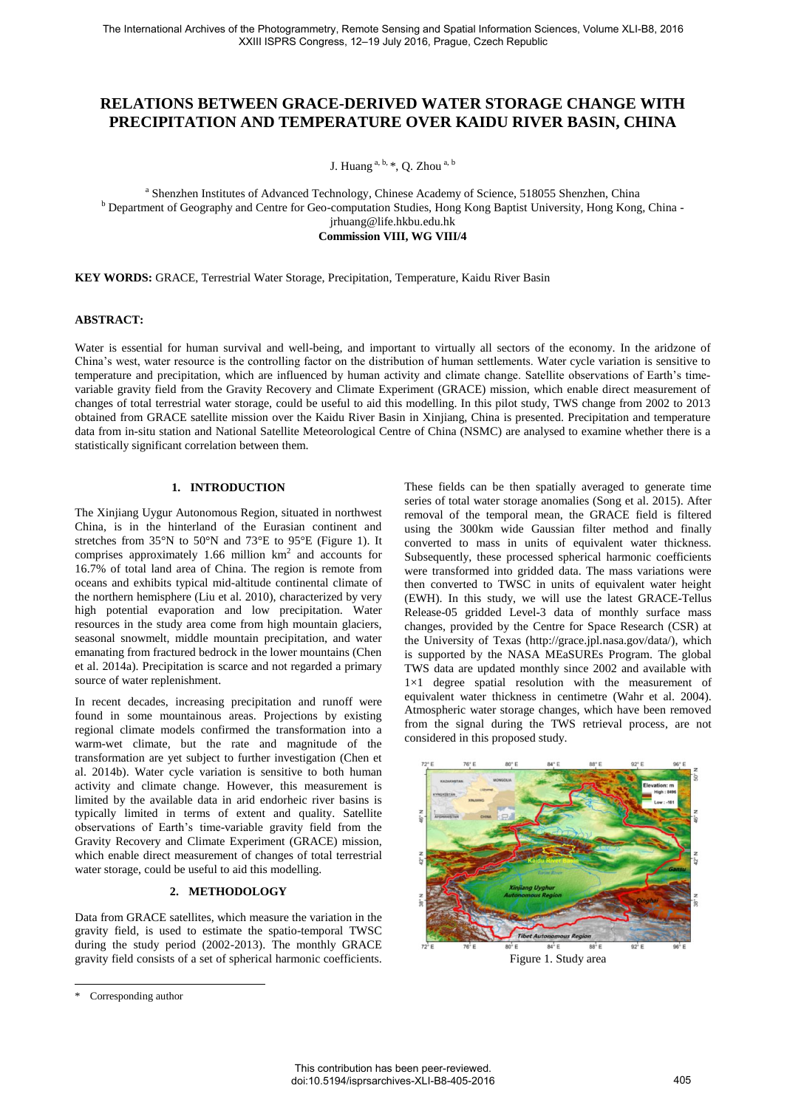# **RELATIONS BETWEEN GRACE-DERIVED WATER STORAGE CHANGE WITH PRECIPITATION AND TEMPERATURE OVER KAIDU RIVER BASIN, CHINA**

J. Huang a, b, \*, Q. Zhou a, b

<sup>a</sup> Shenzhen Institutes of Advanced Technology, Chinese Academy of Science, 518055 Shenzhen, China <sup>b</sup> Department of Geography and Centre for Geo-computation Studies, Hong Kong Baptist University, Hong Kong, China jrhuang@life.hkbu.edu.hk **Commission VIII, WG VIII/4** 

**KEY WORDS:** GRACE, Terrestrial Water Storage, Precipitation, Temperature, Kaidu River Basin

### **ABSTRACT:**

Water is essential for human survival and well-being, and important to virtually all sectors of the economy. In the aridzone of China's west, water resource is the controlling factor on the distribution of human settlements. Water cycle variation is sensitive to temperature and precipitation, which are influenced by human activity and climate change. Satellite observations of Earth's timevariable gravity field from the Gravity Recovery and Climate Experiment (GRACE) mission, which enable direct measurement of changes of total terrestrial water storage, could be useful to aid this modelling. In this pilot study, TWS change from 2002 to 2013 obtained from GRACE satellite mission over the Kaidu River Basin in Xinjiang, China is presented. Precipitation and temperature data from in-situ station and National Satellite Meteorological Centre of China (NSMC) are analysed to examine whether there is a statistically significant correlation between them.

## **1. INTRODUCTION**

The Xinjiang Uygur Autonomous Region, situated in northwest China, is in the hinterland of the Eurasian continent and stretches from 35  $\%$  to 50  $\%$  and 73  $\%$  to 95  $\%$  (Figure 1). It comprises approximately 1.66 million  $km<sup>2</sup>$  and accounts for 16.7% of total land area of China. The region is remote from oceans and exhibits typical mid-altitude continental climate of the northern hemisphere (Liu et al. 2010), characterized by very high potential evaporation and low precipitation. Water resources in the study area come from high mountain glaciers, seasonal snowmelt, middle mountain precipitation, and water emanating from fractured bedrock in the lower mountains (Chen et al. 2014a). Precipitation is scarce and not regarded a primary source of water replenishment.

In recent decades, increasing precipitation and runoff were found in some mountainous areas. Projections by existing regional climate models confirmed the transformation into a warm-wet climate, but the rate and magnitude of the transformation are yet subject to further investigation (Chen et al. 2014b). Water cycle variation is sensitive to both human activity and climate change. However, this measurement is limited by the available data in arid endorheic river basins is typically limited in terms of extent and quality. Satellite observations of Earth's time-variable gravity field from the Gravity Recovery and Climate Experiment (GRACE) mission, which enable direct measurement of changes of total terrestrial water storage, could be useful to aid this modelling.

# **2. METHODOLOGY**

Data from GRACE satellites, which measure the variation in the gravity field, is used to estimate the spatio-temporal TWSC during the study period (2002-2013). The monthly GRACE gravity field consists of a set of spherical harmonic coefficients.

 $\overline{a}$ 

These fields can be then spatially averaged to generate time series of total water storage anomalies (Song et al. 2015). After removal of the temporal mean, the GRACE field is filtered using the 300km wide Gaussian filter method and finally converted to mass in units of equivalent water thickness. Subsequently, these processed spherical harmonic coefficients were transformed into gridded data. The mass variations were then converted to TWSC in units of equivalent water height (EWH). In this study, we will use the latest GRACE-Tellus Release-05 gridded [Level-3 data of monthly surface mass](http://grace.jpl.nasa.gov/data/monthly-mass-grids/)  [changes,](http://grace.jpl.nasa.gov/data/monthly-mass-grids/) provided by the Centre for Space Research (CSR) at the University of Texas (http://grace.jpl.nasa.gov/data/), which is supported by the NASA MEaSUREs Program. The global TWS data are updated monthly since 2002 and available with 1×1 degree spatial resolution with the measurement of equivalent water thickness in centimetre (Wahr et al. 2004). Atmospheric water storage changes, which have been removed from the signal during the TWS retrieval process, are not considered in this proposed study.



<sup>\*</sup> Corresponding author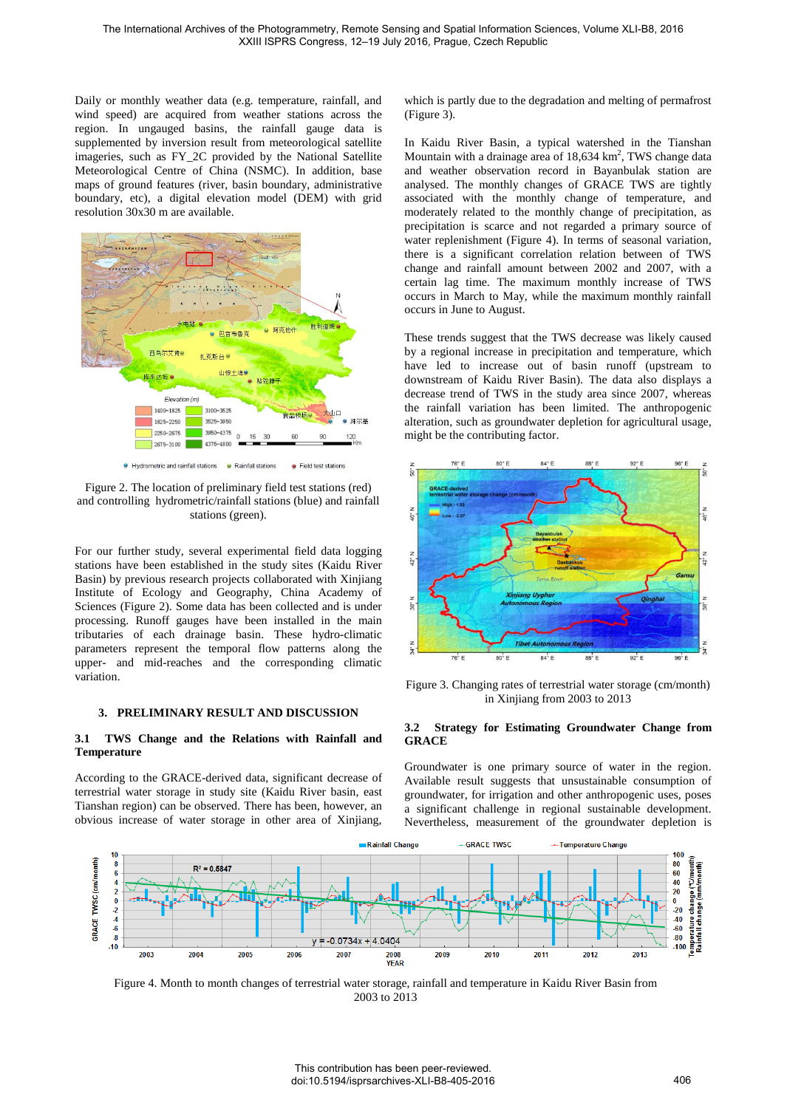Daily or monthly weather data (e.g. temperature, rainfall, and wind speed) are acquired from weather stations across the region. In ungauged basins, the rainfall gauge data is supplemented by inversion result from meteorological satellite imageries, such as FY\_2C provided by the National Satellite Meteorological Centre of China (NSMC). In addition, base maps of ground features (river, basin boundary, administrative boundary, etc), a digital elevation model (DEM) with grid resolution 30x30 m are available.



Figure 2. The location of preliminary field test stations (red) and controlling hydrometric/rainfall stations (blue) and rainfall stations (green).

For our further study, several experimental field data logging stations have been established in the study sites (Kaidu River Basin) by previous research projects collaborated with Xinjiang Institute of Ecology and Geography, China Academy of Sciences (Figure 2). Some data has been collected and is under processing. Runoff gauges have been installed in the main tributaries of each drainage basin. These hydro-climatic parameters represent the temporal flow patterns along the upper- and mid-reaches and the corresponding climatic variation.

#### **3. PRELIMINARY RESULT AND DISCUSSION**

#### **3.1 TWS Change and the Relations with Rainfall and Temperature**

According to the GRACE-derived data, significant decrease of terrestrial water storage in study site (Kaidu River basin, east Tianshan region) can be observed. There has been, however, an obvious increase of water storage in other area of Xinjiang,

which is partly due to the degradation and melting of permafrost (Figure 3).

In Kaidu River Basin, a typical watershed in the Tianshan Mountain with a drainage area of  $18,634 \text{ km}^2$ , TWS change data and weather observation record in Bayanbulak station are analysed. The monthly changes of GRACE TWS are tightly associated with the monthly change of temperature, and moderately related to the monthly change of precipitation, as precipitation is scarce and not regarded a primary source of water replenishment (Figure 4). In terms of seasonal variation, there is a significant correlation relation between of TWS change and rainfall amount between 2002 and 2007, with a certain lag time. The maximum monthly increase of TWS occurs in March to May, while the maximum monthly rainfall occurs in June to August.

These trends suggest that the TWS decrease was likely caused by a regional increase in precipitation and temperature, which have led to increase out of basin runoff (upstream to downstream of Kaidu River Basin). The data also displays a decrease trend of TWS in the study area since 2007, whereas the rainfall variation has been limited. The anthropogenic alteration, such as groundwater depletion for agricultural usage, might be the contributing factor.



Figure 3. Changing rates of terrestrial water storage (cm/month) in Xinjiang from 2003 to 2013

## **3.2 Strategy for Estimating Groundwater Change from GRACE**

Groundwater is one primary source of water in the region. Available result suggests that unsustainable consumption of groundwater, for irrigation and other anthropogenic uses, poses a significant challenge in regional sustainable development. Nevertheless, measurement of the groundwater depletion is



Figure 4. Month to month changes of terrestrial water storage, rainfall and temperature in Kaidu River Basin from 2003 to 2013